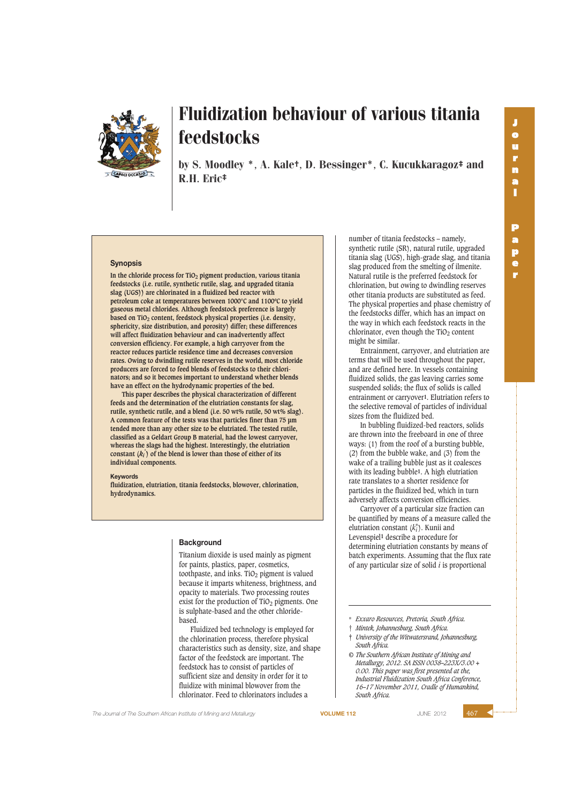

by S. Moodley \*, A. Kale†, D. Bessinger\*, C. Kucukkaragoz‡ and R.H. Eric‡

### **Synopsis**

**In the chloride process for TiO2 pigment production, various titania feedstocks (i.e. rutile, synthetic rutile, slag, and upgraded titania slag (UGS)) are chlorinated in a fluidized bed reactor with petroleum coke at temperatures between 1000°C and 1100ºC to yield gaseous metal chlorides. Although feedstock preference is largely based on TiO2 content, feedstock physical properties (i.e. density, sphericity, size distribution, and porosity) differ; these differences will affect fluidization behaviour and can inadvertently affect conversion efficiency. For example, a high carryover from the reactor reduces particle residence time and decreases conversion rates. Owing to dwindling rutile reserves in the world, most chloride producers are forced to feed blends of feedstocks to their chlorinators; and so it becomes important to understand whether blends have an effect on the hydrodynamic properties of the bed.**

**This paper describes the physical characterization of different feeds and the determination of the elutriation constants for slag, rutile, synthetic rutile, and a blend (i.e. 50 wt% rutile, 50 wt% slag). A common feature of the tests was that particles finer than 75 µm tended more than any other size to be elutriated. The tested rutile, classified as a Geldart Group B material, had the lowest carryover, whereas the slags had the highest. Interestingly, the elutriation constant (***ki* **\* ) of the blend is lower than those of either of its individual components.**

#### **Keywords**

**fluidization, elutriation, titania feedstocks, blowover, chlorination, hydrodynamics.**

### **Background**

Titanium dioxide is used mainly as pigment for paints, plastics, paper, cosmetics, toothpaste, and inks. TiO<sub>2</sub> pigment is valued because it imparts whiteness, brightness, and opacity to materials. Two processing routes exist for the production of  $TiO<sub>2</sub>$  pigments. One is sulphate-based and the other chloridebased.

Fluidized bed technology is employed for the chlorination process, therefore physical characteristics such as density, size, and shape factor of the feedstock are important. The feedstock has to consist of particles of sufficient size and density in order for it to fluidize with minimal blowover from the chlorinator. Feed to chlorinators includes a

number of titania feedstocks – namely, synthetic rutile (SR), natural rutile, upgraded titania slag (UGS), high-grade slag, and titania slag produced from the smelting of ilmenite. Natural rutile is the preferred feedstock for chlorination, but owing to dwindling reserves other titania products are substituted as feed. The physical properties and phase chemistry of the feedstocks differ, which has an impact on the way in which each feedstock reacts in the chlorinator, even though the  $TiO<sub>2</sub>$  content might be similar.

Entrainment, carryover, and elutriation are terms that will be used throughout the paper, and are defined here. In vessels containing fluidized solids, the gas leaving carries some suspended solids; the flux of solids is called entrainment or carryover**1**. Elutriation refers to the selective removal of particles of individual sizes from the fluidized bed.

In bubbling fluidized-bed reactors, solids are thrown into the freeboard in one of three ways: (1) from the roof of a bursting bubble, (2) from the bubble wake, and (3) from the wake of a trailing bubble just as it coalesces with its leading bubble**1**. A high elutriation rate translates to a shorter residence for particles in the fluidized bed, which in turn adversely affects conversion efficiencies.

Carryover of a particular size fraction can be quantified by means of a measure called the elutriation constant  $(k<sub>i</sub><sup>*</sup>)$ . Kunii and Levenspiel**1** describe a procedure for determining elutriation constants by means of batch experiments. Assuming that the flux rate of any particular size of solid *i* is proportional

- † *Mintek, Johannesburg, South Africa.*
- ‡ *University of the Witwatersrand, Johannesburg, South Africa.*
- *© The Southern African Institute of Mining and Metallurgy, 2012. SA ISSN 0038–223X/3.00 + 0.00. This paper was first presented at the, Industrial Fluidization South Africa Conference, 16–17 November 2011, Cradle of Humankind, South Africa.*

**The Journal of The Southern African Institute of Mining and Metallurgy <b>VOLUME 112 VOLUME 112 JUNE** 2012

<sup>\*</sup> *Exxaro Resources, Pretoria, South Africa.*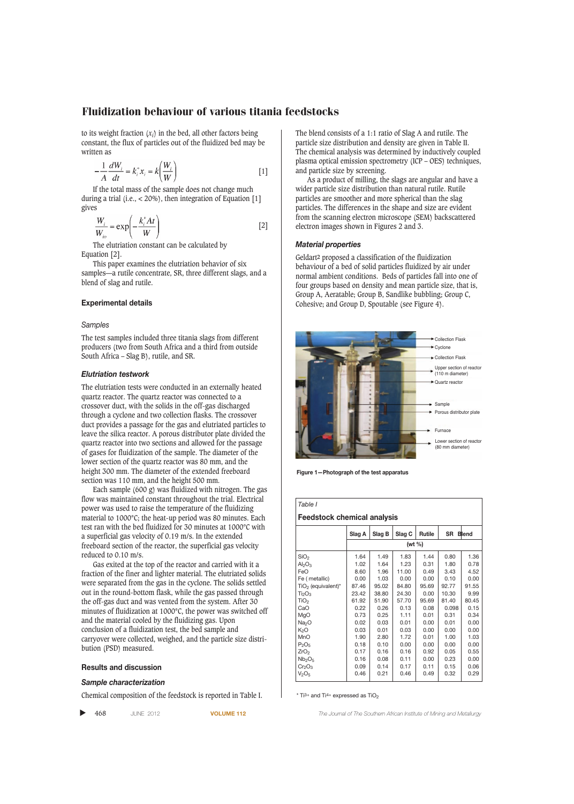to its weight fraction (*xi*) in the bed, all other factors being constant, the flux of particles out of the fluidized bed may be written as

$$
-\frac{1}{A}\frac{dW_i}{dt} = k_i^* x_i = k\left(\frac{W_i}{W}\right)
$$
 [1]

If the total mass of the sample does not change much during a trial (i.e.,  $<$  20%), then integration of Equation [1] gives

$$
\frac{W_i}{W_{io}} = \exp\left(-\frac{k_i^* A t}{W}\right)
$$
 [2]

The elutriation constant can be calculated by Equation [2].

This paper examines the elutriation behavior of six samples—a rutile concentrate, SR, three different slags, and a blend of slag and rutile.

# **Experimental details**

### *Samples*

The test samples included three titania slags from different producers (two from South Africa and a third from outside South Africa – Slag B), rutile, and SR.

## *Elutriation testwork*

The elutriation tests were conducted in an externally heated quartz reactor. The quartz reactor was connected to a crossover duct, with the solids in the off-gas discharged through a cyclone and two collection flasks. The crossover duct provides a passage for the gas and elutriated particles to leave the silica reactor. A porous distributor plate divided the quartz reactor into two sections and allowed for the passage of gases for fluidization of the sample. The diameter of the lower section of the quartz reactor was 80 mm, and the height 300 mm. The diameter of the extended freeboard section was 110 mm, and the height 500 mm.

Each sample (600 g) was fluidized with nitrogen. The gas flow was maintained constant throughout the trial. Electrical power was used to raise the temperature of the fluidizing material to 1000°C; the heat-up period was 80 minutes. Each test ran with the bed fluidized for 30 minutes at 1000°C with a superficial gas velocity of 0.19 m/s. In the extended freeboard section of the reactor, the superficial gas velocity reduced to 0.10 m/s.

Gas exited at the top of the reactor and carried with it a fraction of the finer and lighter material. The elutriated solids were separated from the gas in the cyclone. The solids settled out in the round-bottom flask, while the gas passed through the off-gas duct and was vented from the system. After 30 minutes of fluidization at 1000°C, the power was switched off and the material cooled by the fluidizing gas. Upon conclusion of a fluidization test, the bed sample and carryover were collected, weighed, and the particle size distribution (PSD) measured.

## **Results and discussion**

#### *Sample characterization*

Chemical composition of the feedstock is reported in Table I.

▲

The blend consists of a 1:1 ratio of Slag A and rutile. The particle size distribution and density are given in Table II. The chemical analysis was determined by inductively coupled plasma optical emission spectrometry (ICP – OES) techniques, and particle size by screening.

As a product of milling, the slags are angular and have a wider particle size distribution than natural rutile. Rutile particles are smoother and more spherical than the slag particles. The differences in the shape and size are evident from the scanning electron microscope (SEM) backscattered electron images shown in Figures 2 and 3.

# *Material properties*

Geldart**2** proposed a classification of the fluidization behaviour of a bed of solid particles fluidized by air under normal ambient conditions. Beds of particles fall into one of four groups based on density and mean particle size, that is, Group A, Aeratable; Group B, Sandlike bubbling; Group C, Cohesive; and Group D, Spoutable (see Figure 4).



**Figure 1—Photograph of the test apparatus**

| Table I                          |            |        |        |        |           |              |  |  |
|----------------------------------|------------|--------|--------|--------|-----------|--------------|--|--|
| Feedstock chemical analysis      |            |        |        |        |           |              |  |  |
|                                  | Slag A     | Slag B | Slag C | Rutile | <b>SR</b> | <b>Blend</b> |  |  |
|                                  | (wt $\%$ ) |        |        |        |           |              |  |  |
| SiO <sub>2</sub>                 | 1.64       | 1.49   | 1.83   | 1.44   | 0.80      | 1.36         |  |  |
| $Al_2O_3$                        | 1.02       | 1.64   | 1.23   | 0.31   | 1.80      | 0.78         |  |  |
| FeO                              | 8.60       | 1.96   | 11.00  | 0.49   | 3.43      | 4.52         |  |  |
| Fe (metallic)                    | 0.00       | 1.03   | 0.00   | 0.00   | 0.10      | 0.00         |  |  |
| $TiO2$ (equivalent) <sup>*</sup> | 87.46      | 95.02  | 84.80  | 95.69  | 92.77     | 91.55        |  |  |
| Ti <sub>2</sub> O <sub>3</sub>   | 23.42      | 38.80  | 24.30  | 0.00   | 10.30     | 9.99         |  |  |
| TiO <sub>2</sub>                 | 61.92      | 51.90  | 57.70  | 95.69  | 81.40     | 80.45        |  |  |
| CaO                              | 0.22       | 0.26   | 0.13   | 0.08   | 0.098     | 0.15         |  |  |
| MgO                              | 0.73       | 0.25   | 1.11   | 0.01   | 0.31      | 0.34         |  |  |
| Na <sub>2</sub> O                | 0.02       | 0.03   | 0.01   | 0.00   | 0.01      | 0.00         |  |  |
| K <sub>2</sub> O                 | 0.03       | 0.01   | 0.03   | 0.00   | 0.00      | 0.00         |  |  |
| MnO                              | 1.90       | 2.80   | 1.72   | 0.01   | 1.00      | 1.03         |  |  |
| $P_2O_5$                         | 0.18       | 0.10   | 0.00   | 0.00   | 0.00      | 0.00         |  |  |
| ZrO <sub>2</sub>                 | 0.17       | 0.16   | 0.16   | 0.92   | 0.05      | 0.55         |  |  |
| Nb <sub>2</sub> O <sub>5</sub>   | 0.16       | 0.08   | 0.11   | 0.00   | 0.23      | 0.00         |  |  |
| Cr <sub>2</sub> O <sub>3</sub>   | 0.09       | 0.14   | 0.17   | 0.11   | 0.15      | 0.06         |  |  |
| V <sub>2</sub> O <sub>5</sub>    | 0.46       | 0.21   | 0.46   | 0.49   | 0.32      | 0.29         |  |  |

 $*$  Ti<sub>3+</sub> and Ti<sub>4+</sub> expressed as TiO<sub>2</sub>

468 JUNE 2012 **VOLUME 112** *The Journal of The Southern African Institute of Mining and Metallurgy*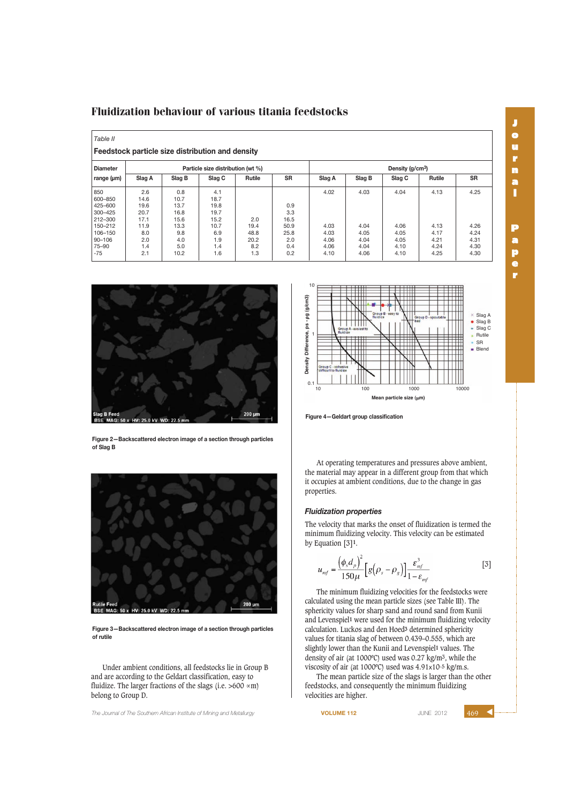| <b>Diameter</b> | Particle size distribution (wt %) |        |        |        | Density (g/cm <sup>3</sup> ) |        |        |        |               |           |
|-----------------|-----------------------------------|--------|--------|--------|------------------------------|--------|--------|--------|---------------|-----------|
| range $(\mu m)$ | Slag A                            | Slag B | Slag C | Rutile | <b>SR</b>                    | Slag A | Slag B | Slag C | <b>Rutile</b> | <b>SR</b> |
| 850             | 2.6                               | 0.8    | 4.1    |        |                              | 4.02   | 4.03   | 4.04   | 4.13          | 4.25      |
| 600-850         | 14.6                              | 10.7   | 18.7   |        |                              |        |        |        |               |           |
| 425-600         | 19.6                              | 13.7   | 19.8   |        | 0.9                          |        |        |        |               |           |
| 300-425         | 20.7                              | 16.8   | 19.7   |        | 3.3                          |        |        |        |               |           |
| 212-300         | 17.1                              | 15.6   | 15.2   | 2.0    | 16.5                         |        |        |        |               |           |
| 150-212         | 11.9                              | 13.3   | 10.7   | 19.4   | 50.9                         | 4.03   | 4.04   | 4.06   | 4.13          | 4.26      |
| 106-150         | 8.0                               | 9.8    | 6.9    | 48.8   | 25.8                         | 4.03   | 4.05   | 4.05   | 4.17          | 4.24      |
| $90 - 106$      | 2.0                               | 4.0    | 1.9    | 20.2   | 2.0                          | 4.06   | 4.04   | 4.05   | 4.21          | 4.31      |
| 75-90           | 1.4                               | 5.0    | 1.4    | 8.2    | 0.4                          | 4.06   | 4.04   | 4.10   | 4.24          | 4.30      |
| $-75$           | 2.1                               | 10.2   | 1.6    | 1.3    | 0.2                          | 4.10   | 4.06   | 4.10   | 4.25          | 4.30      |



**Figure 2—Backscattered electron image of a section through particles of Slag B**



**Figure 3—Backscattered electron image of a section through particles of rutile**

Under ambient conditions, all feedstocks lie in Group B and are according to the Geldart classification, easy to fluidize. The larger fractions of the slags (i.e. >600  $\times$ m) belong to Group D.

and *The Journal of The Southern African Institute of Mining and Metallurgy* **VOLUME 112 VOLUME 112 JUNE 2012** 



**J o u r n a l**

**P a p e r**

**Figure 4—Geldart group classification** 

At operating temperatures and pressures above ambient, the material may appear in a different group from that which it occupies at ambient conditions, due to the change in gas properties.

# *Fluidization properties*

The velocity that marks the onset of fluidization is termed the minimum fluidizing velocity. This velocity can be estimated by Equation [3]**1**.

$$
u_{mf} = \frac{\left(\phi_s d_p\right)^2}{150 \mu} \left[g\left(\rho_s - \rho_g\right)\right] \frac{\varepsilon_{mf}^3}{1 - \varepsilon_{mf}}
$$
 [3]

The minimum fluidizing velocities for the feedstocks were calculated using the mean particle sizes (see Table III). The sphericity values for sharp sand and round sand from Kunii and Levenspiel**1** were used for the minimum fluidizing velocity calculation. Luckos and den Hoed**3** determined sphericity values for titania slag of between 0.439–0.555, which are slightly lower than the Kunii and Levenspiel**1** values. The density of air (at 1000ºC) used was 0.27 kg/m3, while the viscosity of air (at 1000ºC) used was 4.91x10-5 kg/m.s.

The mean particle size of the slags is larger than the other feedstocks, and consequently the minimum fluidizing velocities are higher.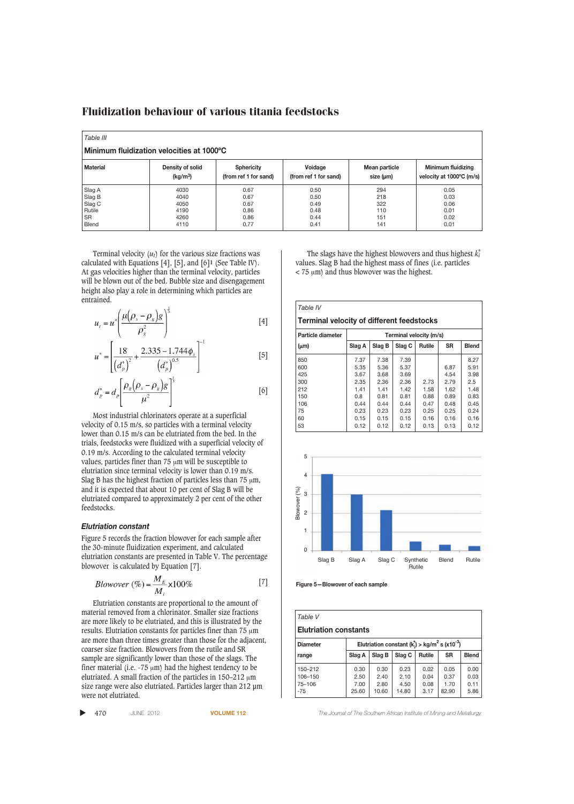| Table III<br>Minimum fluidization velocities at 1000°C |                      |                       |                       |               |                          |  |  |
|--------------------------------------------------------|----------------------|-----------------------|-----------------------|---------------|--------------------------|--|--|
| <b>Material</b>                                        | Density of solid     | <b>Sphericity</b>     | Voidage               | Mean particle | Minimum fluidizing       |  |  |
|                                                        | (kg/m <sup>3</sup> ) | (from ref 1 for sand) | (from ref 1 for sand) | size (µm)     | velocity at 1000°C (m/s) |  |  |
| Slag A                                                 | 4030                 | 0.67                  | 0.50                  | 294           | 0.05                     |  |  |
| Slag B                                                 | 4040                 | 0.67                  | 0.50                  | 218           | 0.03                     |  |  |
| Slag C                                                 | 4050                 | 0.67                  | 0.49                  | 322           | 0.06                     |  |  |
| Rutile                                                 | 4190                 | 0.86                  | 0.48                  | 110           | 0.01                     |  |  |
| <b>SR</b>                                              | 4260                 | 0.86                  | 0.44                  | 151           | 0.02                     |  |  |
| <b>Blend</b>                                           | 4110                 | 0.77                  | 0.41                  | 141           | 0.01                     |  |  |

Terminal velocity  $(u_t)$  for the various size fractions was calculated with Equations [4], [5], and [6]**1** (See Table IV). At gas velocities higher than the terminal velocity, particles will be blown out of the bed. Bubble size and disengagement height also play a role in determining which particles are entrained.

$$
u_t = u^* \left( \frac{\mu (\rho_s - \rho_g) g}{\rho_g^2} \right)^{\frac{1}{3}}
$$
 [4]

$$
u^* = \left[\frac{18}{\left(d_p^*\right)^2} + \frac{2.335 - 1.744 \phi_s}{\left(d_p^*\right)^{0.5}}\right]^{-1} \tag{5}
$$

$$
d_p^* = d_p \left[ \frac{\rho_g \left( \rho_s - \rho_g \right) g}{\mu^2} \right]^{\frac{1}{3}}
$$
 [6]

Most industrial chlorinators operate at a superficial velocity of 0.15 m/s, so particles with a terminal velocity lower than 0.15 m/s can be elutriated from the bed. In the trials, feedstocks were fluidized with a superficial velocity of 0.19 m/s. According to the calculated terminal velocity values, particles finer than  $75 \mu m$  will be susceptible to elutriation since terminal velocity is lower than 0.19 m/s. Slag B has the highest fraction of particles less than  $75 \mu m$ , and it is expected that about 10 per cent of Slag B will be elutriated compared to approximately 2 per cent of the other feedstocks.

### *Elutriation constant*

Figure 5 records the fraction blowover for each sample after the 30-minute fluidization experiment, and calculated elutriation constants are presented in Table V. The percentage blowover is calculated by Equation [7].

*Blowover* (
$$
\%
$$
) =  $\frac{M_E}{M_i}$  x100% [7]

Elutriation constants are proportional to the amount of material removed from a chlorinator. Smaller size fractions are more likely to be elutriated, and this is illustrated by the results. Elutriation constants for particles finer than 75  $\upmu \mathrm{m}$ are more than three times greater than those for the adjacent, coarser size fraction. Blowovers from the rutile and SR sample are significantly lower than those of the slags. The finer material (i.e.  $-75 \text{ }\mu\text{m}$ ) had the highest tendency to be elutriated. A small fraction of the particles in  $150-212 \mu m$ size range were also elutriated. Particles larger than 212 µm were not elutriated.

▲

The slags have the highest blowovers and thus highest  $k_i^*$ values. Slag B had the highest mass of fines (i.e. particles  $<$  75  $\mu$ m) and thus blowover was the highest.







| Table V                                                                                      |        |        |        |               |           |              |  |
|----------------------------------------------------------------------------------------------|--------|--------|--------|---------------|-----------|--------------|--|
| <b>Elutriation constants</b>                                                                 |        |        |        |               |           |              |  |
| Elutriation constant ( $k_i$ ) > kg/m <sup>2</sup> s (x10 <sup>-3</sup> )<br><b>Diameter</b> |        |        |        |               |           |              |  |
| range                                                                                        | Slag A | Slag B | Slag C | <b>Rutile</b> | <b>SR</b> | <b>Blend</b> |  |
| 150-212                                                                                      | 0.30   | 0.30   | 0.23   | 0.02          | 0.05      | 0.00         |  |
| 106-150                                                                                      | 2.50   | 2.40   | 2.10   | 0.04          | 0.37      | 0.03         |  |
| 75-106                                                                                       | 7.00   | 2.80   | 4.50   | 0.08          | 1.70      | 0.11         |  |
| $-75$                                                                                        | 25.60  | 10.60  | 14.80  | 3.17          | 82.90     | 5.86         |  |

470 JUNE 2012 **VOLUME 112** *The Journal of The Southern African Institute of Mining and Metallurgy*